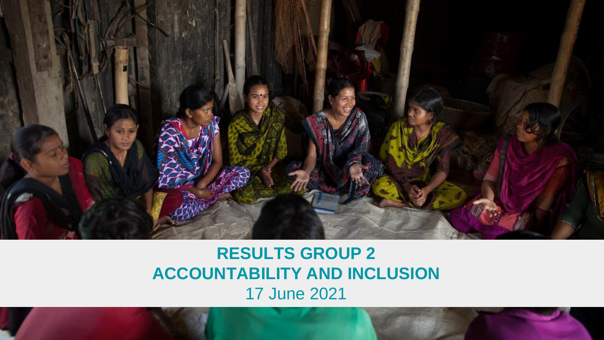

### **RESULTS GROUP 2 ACCOUNTABILITY AND INCLUSION** 17 June 2021

Public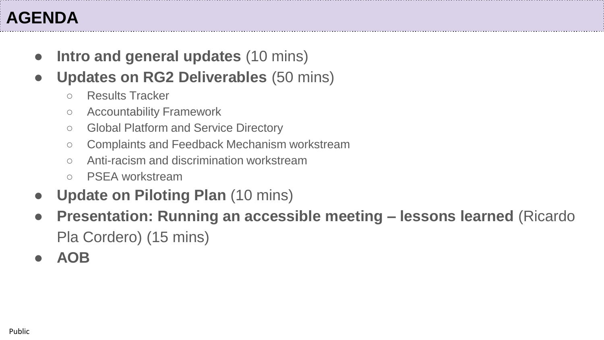- **Intro and general updates** (10 mins)
- **Updates on RG2 Deliverables (50 mins)** 
	- Results Tracker
	- Accountability Framework
	- Global Platform and Service Directory
	- Complaints and Feedback Mechanism workstream
	- Anti-racism and discrimination workstream
	- PSEA workstream
- **Update on Piloting Plan (10 mins)**
- **Presentation: Running an accessible meeting – lessons learned** (Ricardo Pla Cordero) (15 mins)
- **AOB**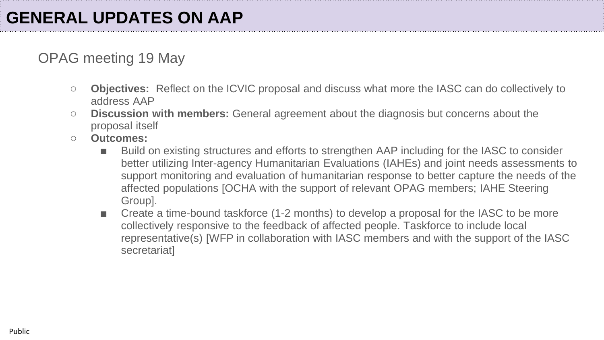#### OPAG meeting 19 May

- **Objectives:** Reflect on the ICVIC proposal and discuss what more the IASC can do collectively to address AAP
- **Discussion with members:** General agreement about the diagnosis but concerns about the proposal itself
- **Outcomes:** 
	- Build on existing structures and efforts to strengthen AAP including for the IASC to consider better utilizing Inter-agency Humanitarian Evaluations (IAHEs) and joint needs assessments to support monitoring and evaluation of humanitarian response to better capture the needs of the affected populations [OCHA with the support of relevant OPAG members; IAHE Steering Group].
	- Create a time-bound taskforce (1-2 months) to develop a proposal for the IASC to be more collectively responsive to the feedback of affected people. Taskforce to include local representative(s) [WFP in collaboration with IASC members and with the support of the IASC secretariat]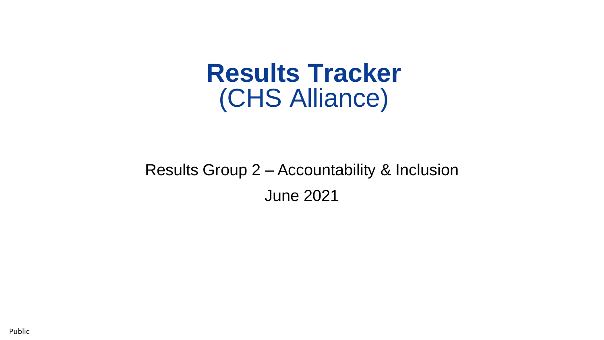# **Results Tracker** (CHS Alliance)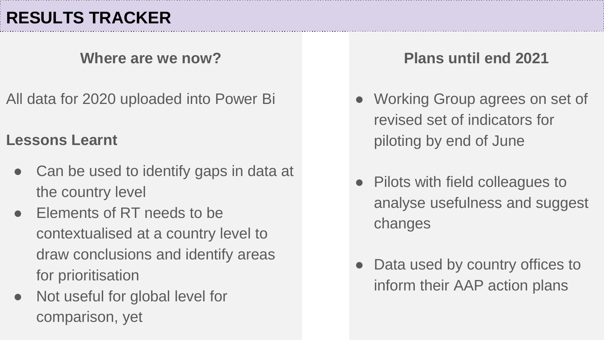**Where are we now?**

All data for 2020 uploaded into Power Bi

#### **Lessons Learnt**

- Can be used to identify gaps in data at the country level
- Elements of RT needs to be contextualised at a country level to draw conclusions and identify areas for prioritisation
- Not useful for global level for comparison, yet

#### **Plans until end 2021**

- Working Group agrees on set of revised set of indicators for piloting by end of June
- Pilots with field colleagues to analyse usefulness and suggest changes
- Data used by country offices to inform their AAP action plans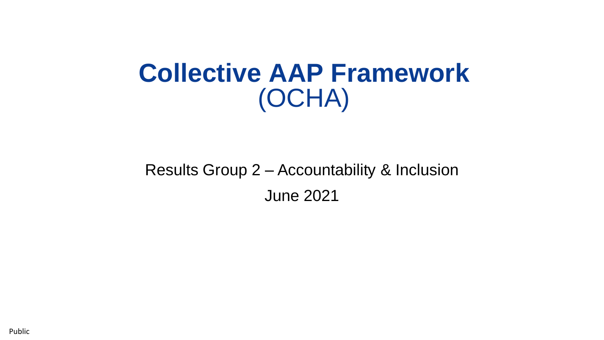# **Collective AAP Framework** (OCHA)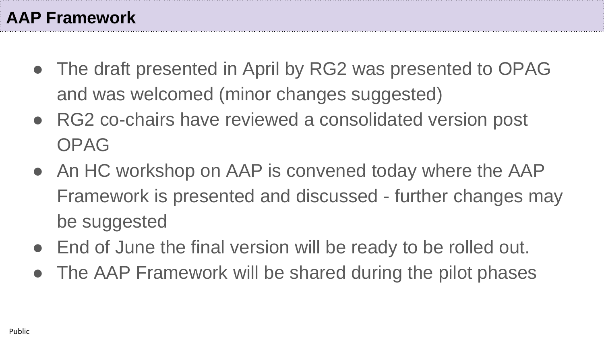- The draft presented in April by RG2 was presented to OPAG and was welcomed (minor changes suggested)
- RG2 co-chairs have reviewed a consolidated version post OPAG
- An HC workshop on AAP is convened today where the AAP Framework is presented and discussed - further changes may be suggested
- End of June the final version will be ready to be rolled out.
- The AAP Framework will be shared during the pilot phases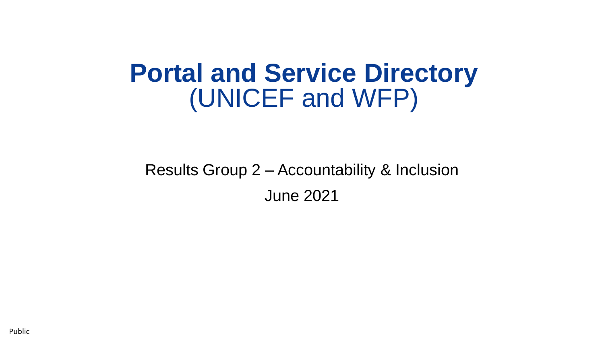# **Portal and Service Directory** (UNICEF and WFP)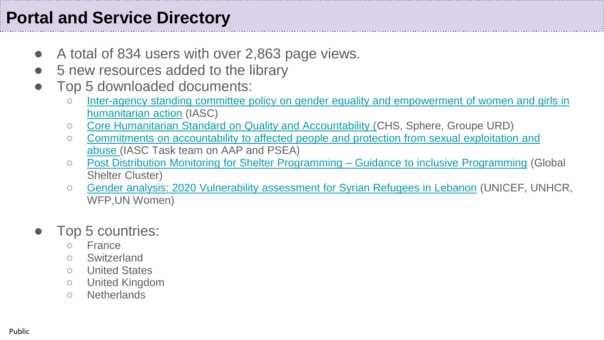## **Portal and Service Directory**

- A total of 834 users with over 2,863 page views.
- 5 new resources added to the library
- Top 5 downloaded documents:
	- Inter-agency standing committee policy on gender equality and empowerment of women and girls in humanitarian action (IASC)
	- [Core Humanitarian Standard on Quality and Accountability \(](https://eur02.safelinks.protection.outlook.com/?url=https%3A%2F%2Faap-inclusion-psea.alnap.org%2Fhelp-library%2Fcore-humanitarian-standard-on-quality-and-accountability&data=04%7C01%7CHQIASCPS%40unhcr.org%7Cedd0b663a9924aab0c0508d92731a1e3%7Ce5c37981666441348a0c6543d2af80be%7C0%7C0%7C637583916522946803%7CUnknown%7CTWFpbGZsb3d8eyJWIjoiMC4wLjAwMDAiLCJQIjoiV2luMzIiLCJBTiI6Ik1haWwiLCJXVCI6Mn0%3D%7C1000&sdata=nDC%2FGOHvjVVE0WwKzqsxFMaUZKFZ3YdZhDRN%2FdXMccg%3D&reserved=0)CHS, Sphere, Groupe URD)
	- [Commitments on accountability to affected people and protection from sexual exploitation and](https://eur02.safelinks.protection.outlook.com/?url=https%3A%2F%2Faap-inclusion-psea.alnap.org%2Fhelp-library%2Fcommitments-on-accountability-to-affected-people-and-protection-from-sexual-0&data=04%7C01%7CHQIASCPS%40unhcr.org%7Cedd0b663a9924aab0c0508d92731a1e3%7Ce5c37981666441348a0c6543d2af80be%7C0%7C0%7C637583916522956759%7CUnknown%7CTWFpbGZsb3d8eyJWIjoiMC4wLjAwMDAiLCJQIjoiV2luMzIiLCJBTiI6Ik1haWwiLCJXVCI6Mn0%3D%7C1000&sdata=79iwPpZDITEuquWM44MrTlaJnRWyY138CYHxkhil92g%3D&reserved=0)  abuse (IASC Task team on AAP and PSEA)
	- [Post Distribution Monitoring for Shelter Programming –](https://eur02.safelinks.protection.outlook.com/?url=https%3A%2F%2Faap-inclusion-psea.alnap.org%2Fhelp-library%2Fpost-distribution-monitoring-for-shelter-programming-guidance-to-inclusive-programming&data=04%7C01%7CHQIASCPS%40unhcr.org%7Cedd0b663a9924aab0c0508d92731a1e3%7Ce5c37981666441348a0c6543d2af80be%7C0%7C0%7C637583916522966721%7CUnknown%7CTWFpbGZsb3d8eyJWIjoiMC4wLjAwMDAiLCJQIjoiV2luMzIiLCJBTiI6Ik1haWwiLCJXVCI6Mn0%3D%7C1000&sdata=6qR28o%2BP%2BfALhrHZUtQ8bMJmTumFNI5x7UGM183rNrE%3D&reserved=0) Guidance to inclusive Programming (Global Shelter Cluster)
	- [Gender analysis: 2020 Vulnerability assessment for Syrian Refugees in](https://eur02.safelinks.protection.outlook.com/?url=https%3A%2F%2Faap-inclusion-psea.alnap.org%2Fhelp-library%2Fgender-analysis-2020-vulnerability-assessment-for-syrian-refugees-in-lebanon-vasyr&data=04%7C01%7CHQIASCPS%40unhcr.org%7Cedd0b663a9924aab0c0508d92731a1e3%7Ce5c37981666441348a0c6543d2af80be%7C0%7C0%7C637583916522966721%7CUnknown%7CTWFpbGZsb3d8eyJWIjoiMC4wLjAwMDAiLCJQIjoiV2luMzIiLCJBTiI6Ik1haWwiLCJXVCI6Mn0%3D%7C1000&sdata=Dp6fBYc%2F5ABWJmdPikqmzXW57O11f3A%2Fx4AuorVtv1k%3D&reserved=0) Lebanon (UNICEF, UNHCR, WFP,UN Women)

#### Top 5 countries:

- France
- Switzerland
- United States
- United Kingdom
- Netherlands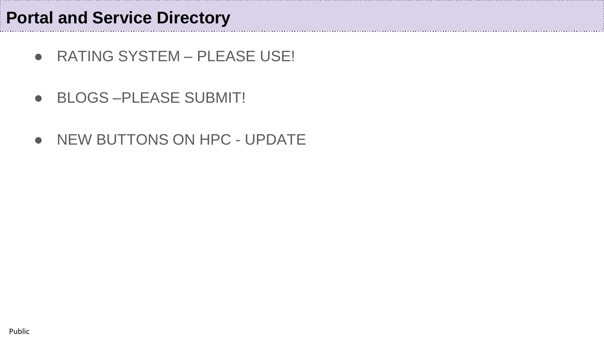- RATING SYSTEM PLEASE USE!
- BLOGS-PLEASE SUBMIT!
- NEW BUTTONS ON HPC UPDATE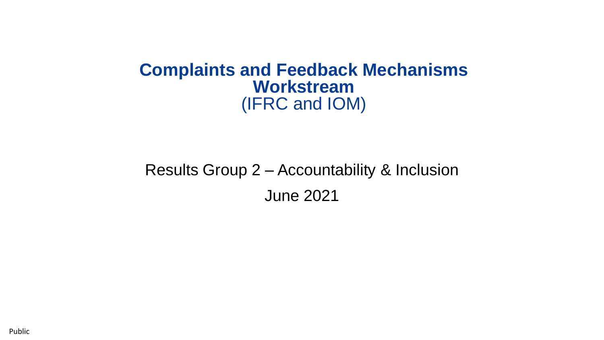#### **Complaints and Feedback Mechanisms Workstream** (IFRC and IOM)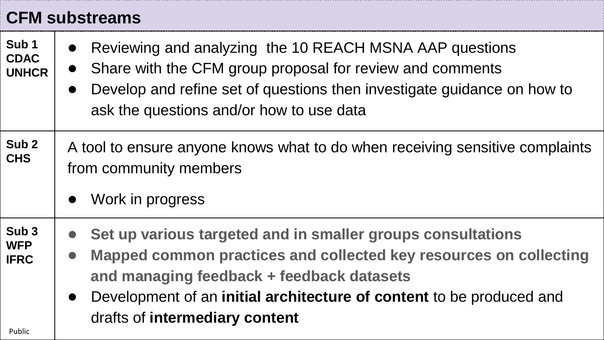## **CFM substreams**

| Sub <sub>1</sub><br><b>CDAC</b><br><b>UNHCR</b>         | Reviewing and analyzing the 10 REACH MSNA AAP questions<br>Share with the CFM group proposal for review and comments<br>$\bullet$<br>Develop and refine set of questions then investigate guidance on how to<br>ask the questions and/or how to use data                                                          |
|---------------------------------------------------------|-------------------------------------------------------------------------------------------------------------------------------------------------------------------------------------------------------------------------------------------------------------------------------------------------------------------|
| Sub <sub>2</sub><br><b>CHS</b>                          | A tool to ensure anyone knows what to do when receiving sensitive complaints<br>from community members<br>Work in progress<br>$\bullet$                                                                                                                                                                           |
| Sub <sub>3</sub><br><b>WFP</b><br><b>IFRC</b><br>Public | Set up various targeted and in smaller groups consultations<br>Mapped common practices and collected key resources on collecting<br>$\bullet$<br>and managing feedback + feedback datasets<br>Development of an initial architecture of content to be produced and<br>$\bullet$<br>drafts of intermediary content |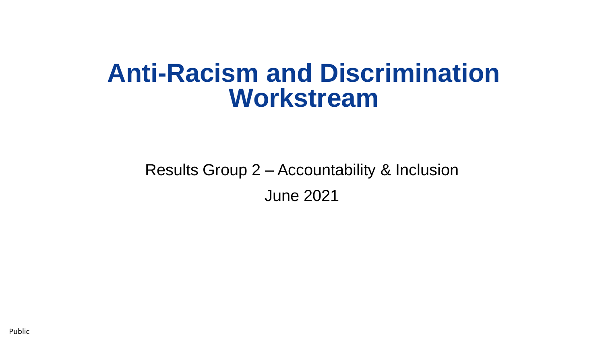## **Anti-Racism and Discrimination Workstream**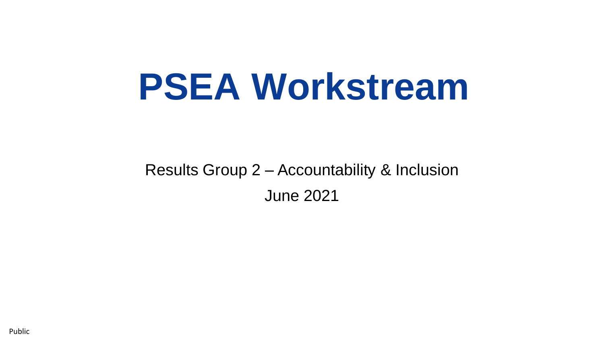# **PSEA Workstream**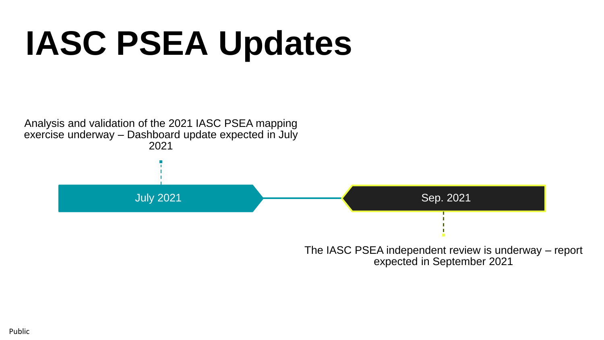# **IASC PSEA Updates**

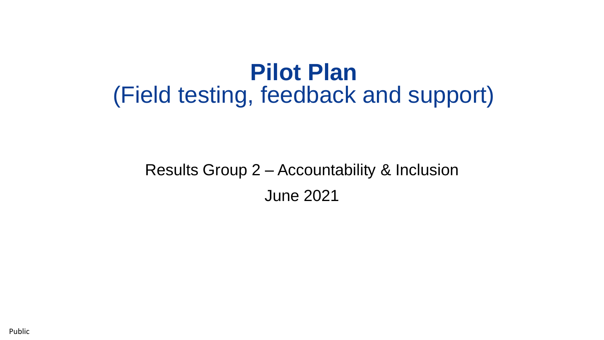## **Pilot Plan** (Field testing, feedback and support)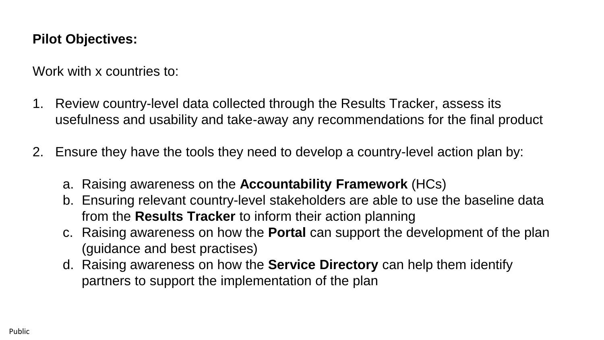#### **Pilot Objectives:**

Work with x countries to:

- 1. Review country-level data collected through the Results Tracker, assess its usefulness and usability and take-away any recommendations for the final product
- 2. Ensure they have the tools they need to develop a country-level action plan by:
	- a. Raising awareness on the **Accountability Framework** (HCs)
	- b. Ensuring relevant country-level stakeholders are able to use the baseline data from the **Results Tracker** to inform their action planning
	- c. Raising awareness on how the **Portal** can support the development of the plan (guidance and best practises)
	- d. Raising awareness on how the **Service Directory** can help them identify partners to support the implementation of the plan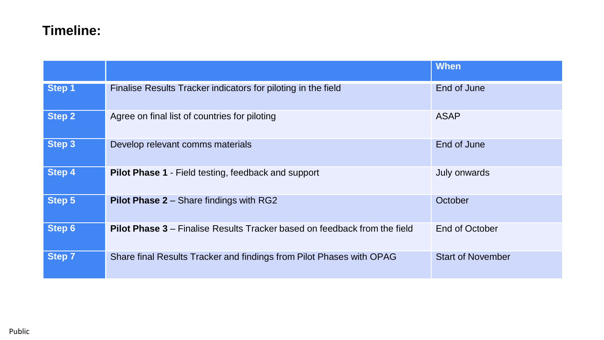#### **Timeline:**

|               |                                                                                  | <b>When</b>              |
|---------------|----------------------------------------------------------------------------------|--------------------------|
| Step 1        | Finalise Results Tracker indicators for piloting in the field                    | End of June              |
| Step 2        | Agree on final list of countries for piloting                                    | <b>ASAP</b>              |
| <b>Step 3</b> | Develop relevant comms materials                                                 | End of June              |
| Step 4        | <b>Pilot Phase 1 - Field testing, feedback and support</b>                       | July onwards             |
| Step 5        | <b>Pilot Phase 2 - Share findings with RG2</b>                                   | October                  |
| <b>Step 6</b> | <b>Pilot Phase 3</b> – Finalise Results Tracker based on feedback from the field | End of October           |
| <b>Step 7</b> | Share final Results Tracker and findings from Pilot Phases with OPAG             | <b>Start of November</b> |